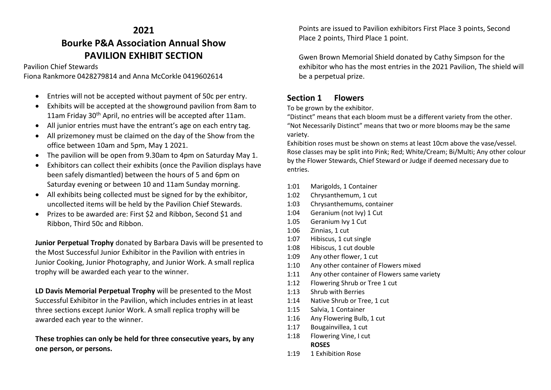# **2021 Bourke P&A Association Annual Show PAVILION EXHIBIT SECTION**

Pavilion Chief Stewards

Fiona Rankmore 0428279814 and Anna McCorkle 0419602614

- Entries will not be accepted without payment of 50c per entry.
- Exhibits will be accepted at the showground pavilion from 8am to 11am Friday 30<sup>th</sup> April, no entries will be accepted after 11am.
- All junior entries must have the entrant's age on each entry tag.
- All prizemoney must be claimed on the day of the Show from the office between 10am and 5pm, May 1 2021.
- The pavilion will be open from 9.30am to 4pm on Saturday May 1.
- Exhibitors can collect their exhibits (once the Pavilion displays have been safely dismantled) between the hours of 5 and 6pm on Saturday evening or between 10 and 11am Sunday morning.
- All exhibits being collected must be signed for by the exhibitor, uncollected items will be held by the Pavilion Chief Stewards.
- Prizes to be awarded are: First \$2 and Ribbon, Second \$1 and Ribbon, Third 50c and Ribbon.

**Junior Perpetual Trophy** donated by Barbara Davis will be presented to the Most Successful Junior Exhibitor in the Pavilion with entries in Junior Cooking, Junior Photography, and Junior Work. A small replica trophy will be awarded each year to the winner.

**LD Davis Memorial Perpetual Trophy** will be presented to the Most Successful Exhibitor in the Pavilion, which includes entries in at least three sections except Junior Work. A small replica trophy will be awarded each year to the winner.

# **These trophies can only be held for three consecutive years, by any one person, or persons.**

Points are issued to Pavilion exhibitors First Place 3 points, Second Place 2 points, Third Place 1 point.

Gwen Brown Memorial Shield donated by Cathy Simpson for the exhibitor who has the most entries in the 2021 Pavilion, The shield will be a perpetual prize.

# **Section 1 Flowers**

To be grown by the exhibitor.

"Distinct" means that each bloom must be a different variety from the other. "Not Necessarily Distinct" means that two or more blooms may be the same variety.

Exhibition roses must be shown on stems at least 10cm above the vase/vessel. Rose classes may be split into Pink; Red; White/Cream; Bi/Multi; Any other colour by the Flower Stewards, Chief Steward or Judge if deemed necessary due to entries.

- 1:01 Marigolds, 1 Container
- 1:02 Chrysanthemum, 1 cut
- 1:03 Chrysanthemums, container
- 1:04 Geranium (not Ivy) 1 Cut
- 1.05 Geranium Ivy 1 Cut
- 1:06 Zinnias, 1 cut
- 1:07 Hibiscus, 1 cut single
- 1:08 Hibiscus, 1 cut double
- 1:09 Any other flower, 1 cut
- 1:10 Any other container of Flowers mixed
- 1:11 Any other container of Flowers same variety
- 1:12 Flowering Shrub or Tree 1 cut
- 1:13 Shrub with Berries
- 1:14 Native Shrub or Tree, 1 cut
- 1:15 Salvia, 1 Container
- 1:16 Any Flowering Bulb, 1 cut
- 1:17 Bougainvillea, 1 cut
- 1:18 Flowering Vine, I cut **ROSES**
- 1:19 1 Exhibition Rose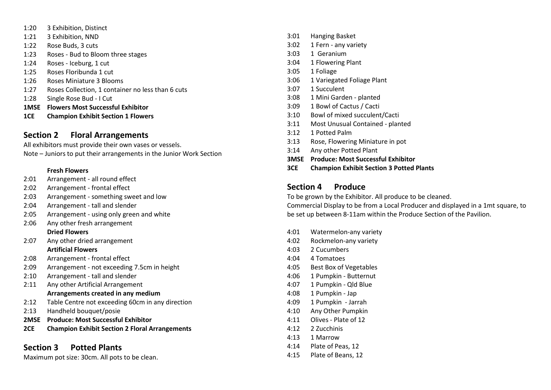- 1:20 3 Exhibition, Distinct 1:21 3 Exhibition, NND 1:22 Rose Buds, 3 cuts 1:23 Roses - Bud to Bloom three stages 1:24 Roses - Iceburg, 1 cut 1:25 Roses Floribunda 1 cut 1:26 Roses Miniature 3 Blooms 1:27 Roses Collection, 1 container no less than 6 cuts 1:28 Single Rose Bud - I Cut **1MSE Flowers Most Successful Exhibitor**
- **1CE Champion Exhibit Section 1 Flowers**

# **Section 2 Floral Arrangements**

All exhibitors must provide their own vases or vessels.

Note – Juniors to put their arrangements in the Junior Work Section

### **Fresh Flowers**

- 2:01 Arrangement all round effect
- 2:02 Arrangement frontal effect
- 2:03 Arrangement something sweet and low
- 2:04 Arrangement tall and slender
- 2:05 Arrangement using only green and white
- 2:06 Any other fresh arrangement **Dried Flowers**
- 2:07 Any other dried arrangement **Artificial Flowers**
- 2:08 Arrangement frontal effect
- 2:09 Arrangement not exceeding 7.5cm in height
- 2:10 Arrangement tall and slender
- 2:11 Any other Artificial Arrangement

## **Arrangements created in any medium**

- 2:12 Table Centre not exceeding 60cm in any direction
- 2:13 Handheld bouquet/posie
- **2MSE Produce: Most Successful Exhibitor**
- **2CE Champion Exhibit Section 2 Floral Arrangements**

# **Section 3 Potted Plants**

Maximum pot size: 30cm. All pots to be clean.

- 3:01 Hanging Basket
- 3:02 1 Fern any variety
- 3:03 1 Geranium
- 3:04 1 Flowering Plant
- 3:05 1 Foliage
- 3:06 1 Variegated Foliage Plant
- 3:07 1 Succulent
- 3:08 1 Mini Garden planted
- 3:09 1 Bowl of Cactus / Cacti
- 3:10 Bowl of mixed succulent/Cacti
- 3:11 Most Unusual Contained planted
- 3:12 1 Potted Palm
- 3:13 Rose, Flowering Miniature in pot
- 3:14 Any other Potted Plant
- **3MSE Produce: Most Successful Exhibitor**
- **3CE Champion Exhibit Section 3 Potted Plants**

# **Section 4 Produce**

To be grown by the Exhibitor. All produce to be cleaned.

Commercial Display to be from a Local Producer and displayed in a 1mt square, to be set up between 8-11am within the Produce Section of the Pavilion.

- 4:01 Watermelon-any variety
- 4:02 Rockmelon-any variety
- 4:03 2 Cucumbers
- 4:04 4 Tomatoes
- 4:05 Best Box of Vegetables
- 4:06 1 Pumpkin Butternut
- 4:07 1 Pumpkin Qld Blue
- 4:08 1 Pumpkin Jap
- 4:09 1 Pumpkin Jarrah
- 4:10 Any Other Pumpkin
- 4:11 Olives Plate of 12
- 4:12 2 Zucchinis
- 4:13 1 Marrow
- 4:14 Plate of Peas, 12
- 4:15 Plate of Beans, 12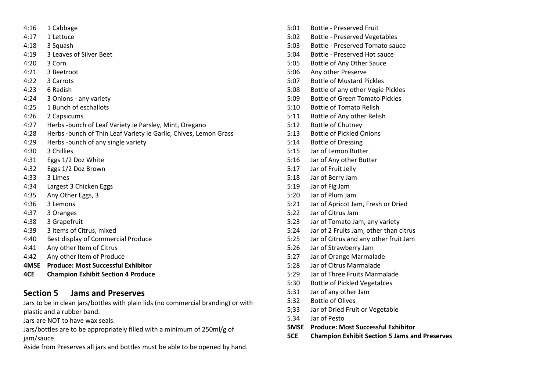- 4:16 1 Cabbage
- 4:17 1 Lettuce
- 4:18 3 Squash
- 4:19 3 Leaves of Silver Beet
- 4:20 3 Corn
- 4:21 3 Beetroot
- 4:22 3 Carrots
- 4:23 6 Radish
- 4:24 3 Onions any variety
- 4:25 1 Bunch of eschallots
- 4:26 2 Capsicums
- 4:27 Herbs -bunch of Leaf Variety ie Parsley, Mint, Oregano
- 4:28 Herbs -bunch of Thin Leaf Variety ie Garlic, Chives, Lemon Grass
- 4:29 Herbs -bunch of any single variety
- 4:30 3 Chillies
- 4:31 Eggs 1/2 Doz White
- 4:32 Eggs 1/2 Doz Brown
- 4:33 3 Limes
- 4:34 Largest 3 Chicken Eggs
- 4:35 Any Other Eggs, 3
- 4:36 3 Lemons
- 4:37 3 Oranges
- 4:38 3 Grapefruit
- 4:39 3 items of Citrus, mixed
- 4:40 Best display of Commercial Produce
- 4:41 Any other Item of Citrus
- 4:42 Any other Item of Produce
- **4MSE Produce: Most Successful Exhibitor**
- **4CE Champion Exhibit Section 4 Produce**

# **Section 5 Jams and Preserves**

Jars to be in clean jars/bottles with plain lids (no commercial branding) or with plastic and a rubber band.

Jars are NOT to have wax seals.

Jars/bottles are to be appropriately filled with a minimum of 250ml/g of jam/sauce.

Aside from Preserves all jars and bottles must be able to be opened by hand.

- 5:01 Bottle Preserved Fruit
- 5:02 Bottle Preserved Vegetables
- 5:03 Bottle Preserved Tomato sauce
- 5:04 Bottle Preserved Hot sauce
- 5:05 Bottle of Any Other Sauce
- 5:06 Any other Preserve
- 5:07 Bottle of Mustard Pickles
- 5:08 Bottle of any other Vegie Pickles
- 5:09 Bottle of Green Tomato Pickles
- 5:10 Bottle of Tomato Relish
- 5:11 Bottle of Any other Relish
- 5:12 Bottle of Chutney
- 5:13 Bottle of Pickled Onions
- 5:14 Bottle of Dressing
- 5:15 Jar of Lemon Butter
- 5:16 Jar of Any other Butter
- 5:17 Jar of Fruit Jelly
- 5:18 Jar of Berry Jam
- 5:19 Jar of Fig Jam
- 5:20 Jar of Plum Jam
- 5:21 Jar of Apricot Jam, Fresh or Dried
- 5:22 Jar of Citrus Jam
- 5:23 Jar of Tomato Jam, any variety
- 5:24 Jar of 2 Fruits Jam, other than citrus
- 5:25 Jar of Citrus and any other fruit Jam
- 5:26 Jar of Strawberry Jam
- 5:27 Jar of Orange Marmalade
- 5:28 Jar of Citrus Marmalade
- 5:29 Jar of Three Fruits Marmalade
- 5:30 Bottle of Pickled Vegetables
- 5:31 Jar of any other Jam
- 5:32 Bottle of Olives
- 5;33 Jar of Dried Fruit or Vegetable
- 5.34 Jar of Pesto
- **5MSE Produce: Most Successful Exhibitor**
- **5CE Champion Exhibit Section 5 Jams and Preserves**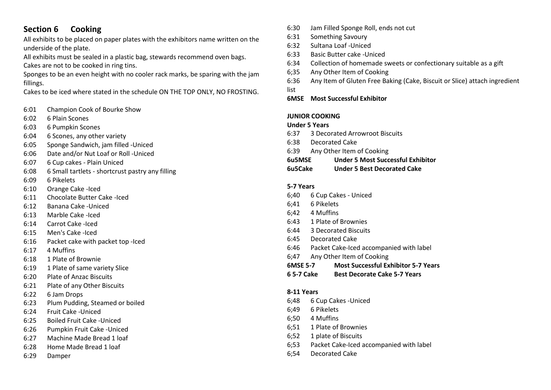# **Section 6 Cooking**

All exhibits to be placed on paper plates with the exhibitors name written on the underside of the plate.

All exhibits must be sealed in a plastic bag, stewards recommend oven bags. Cakes are not to be cooked in ring tins.

Sponges to be an even height with no cooler rack marks, be sparing with the jam fillings.

Cakes to be iced where stated in the schedule ON THE TOP ONLY, NO FROSTING.

- 6:01 Champion Cook of Bourke Show
- 6:02 6 Plain Scones
- 6:03 6 Pumpkin Scones
- 6:04 6 Scones, any other variety
- 6:05 Sponge Sandwich, jam filled -Uniced
- 6:06 Date and/or Nut Loaf or Roll -Uniced
- 6:07 6 Cup cakes Plain Uniced
- 6:08 6 Small tartlets shortcrust pastry any filling
- 6:09 6 Pikelets
- 6:10 Orange Cake -Iced
- 6:11 Chocolate Butter Cake -Iced
- 6:12 Banana Cake -Uniced
- 6:13 Marble Cake -Iced
- 6:14 Carrot Cake -Iced
- 6:15 Men's Cake -Iced
- 6:16 Packet cake with packet top -Iced
- 6:17 4 Muffins
- 6:18 1 Plate of Brownie
- 6:19 1 Plate of same variety Slice
- 6:20 Plate of Anzac Biscuits
- 6:21 Plate of any Other Biscuits
- 6:22 6 Jam Drops
- 6:23 Plum Pudding, Steamed or boiled
- 6:24 Fruit Cake -Uniced
- 6:25 Boiled Fruit Cake -Uniced
- 6:26 Pumpkin Fruit Cake -Uniced
- 6:27 Machine Made Bread 1 loaf
- 6:28 Home Made Bread 1 loaf
- 6:29 Damper
- 6:30 Jam Filled Sponge Roll, ends not cut
- 6:31 Something Savoury
- 6:32 Sultana Loaf -Uniced
- 6:33 Basic Butter cake -Uniced
- 6:34 Collection of homemade sweets or confectionary suitable as a gift
- 6;35 Any Other Item of Cooking
- 6:36 Any Item of Gluten Free Baking (Cake, Biscuit or Slice) attach ingredient
- list
- **6MSE Most Successful Exhibitor**

## **JUNIOR COOKING**

## **Under 5 Years**

- 6:37 3 Decorated Arrowroot Biscuits
- 6:38 Decorated Cake
- 6:39 Any Other Item of Cooking
- **6u5MSE Under 5 Most Successful Exhibitor**
- **6u5Cake Under 5 Best Decorated Cake**

## **5-7 Years**

- 6;40 6 Cup Cakes Uniced
- 6;41 6 Pikelets
- 6;42 4 Muffins
- 6:43 1 Plate of Brownies
- 6:44 3 Decorated Biscuits
- 6:45 Decorated Cake
- 6:46 Packet Cake-Iced accompanied with label
- 6;47 Any Other Item of Cooking
- **6MSE 5-7 Most Successful Exhibitor 5-7 Years**
- **6 5-7 Cake Best Decorate Cake 5-7 Years**

### **8-11 Years**

- 6;48 6 Cup Cakes -Uniced
- 6;49 6 Pikelets
- 6;50 4 Muffins
- 6;51 1 Plate of Brownies
- 6;52 1 plate of Biscuits
- 6;53 Packet Cake-Iced accompanied with label
- 6;54 Decorated Cake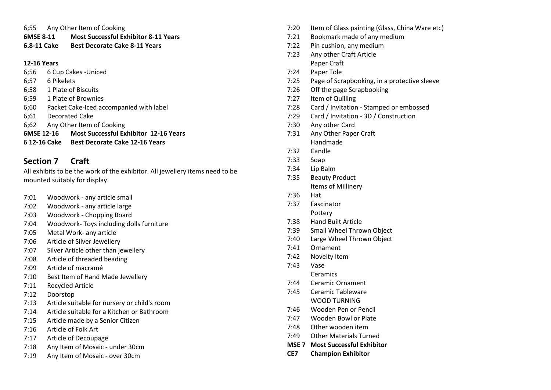## 6;55 Any Other Item of Cooking

**6MSE 8-11 Most Successful Exhibitor 8-11 Years**

## **6.8-11 Cake Best Decorate Cake 8-11 Years**

## **12-16 Years**

- 6;56 6 Cup Cakes -Uniced
- 6;57 6 Pikelets
- 6;58 1 Plate of Biscuits
- 6;59 1 Plate of Brownies
- 6;60 Packet Cake-Iced accompanied with label
- 6;61 Decorated Cake
- 6;62 Any Other Item of Cooking
- **6MSE 12-16 Most Successful Exhibitor 12-16 Years**
- **6 12-16 Cake Best Decorate Cake 12-16 Years**

# **Section 7 Craft**

All exhibits to be the work of the exhibitor. All jewellery items need to be mounted suitably for display.

- 7:01 Woodwork any article small
- 7:02 Woodwork any article large
- 7:03 Woodwork Chopping Board
- 7:04 Woodwork- Toys including dolls furniture
- 7:05 Metal Work- any article
- 7:06 Article of Silver Jewellery
- 7:07 Silver Article other than jewellery
- 7:08 Article of threaded beading
- 7:09 Article of macramé
- 7:10 Best Item of Hand Made Jewellery
- 7:11 Recycled Article
- 7:12 Doorstop
- 7:13 Article suitable for nursery or child's room
- 7:14 Article suitable for a Kitchen or Bathroom
- 7:15 Article made by a Senior Citizen
- 7:16 Article of Folk Art
- 7:17 Article of Decoupage
- 7:18 Any Item of Mosaic under 30cm
- 7:19 Any Item of Mosaic over 30cm
- 7:20 Item of Glass painting (Glass, China Ware etc)
- 7:21 Bookmark made of any medium
- 7:22 Pin cushion, any medium
- 7:23 Any other Craft Article Paper Craft
- 7:24 Paper Tole
- 7:25 Page of Scrapbooking, in a protective sleeve
- 7:26 Off the page Scrapbooking
- 7:27 Item of Quilling
- 7:28 Card / Invitation Stamped or embossed
- 7:29 Card / Invitation 3D / Construction
- 7:30 Any other Card
- 7:31 Any Other Paper Craft Handmade
- 7:32 Candle
- 7:33 Soap
- 7:34 Lip Balm
- 7:35 Beauty Product Items of Millinery
- 7:36 Hat
- 7:37 Fascinator Pottery
- 7:38 Hand Built Article
- 7:39 Small Wheel Thrown Object
- 7:40 Large Wheel Thrown Object
- 7:41 Ornament
- 7:42 Novelty Item
- 7:43 Vase
	- Ceramics
- 7:44 Ceramic Ornament
- 7:45 Ceramic Tableware WOOD TURNING
- 7:46 Wooden Pen or Pencil
- 7:47 Wooden Bowl or Plate
- 7:48 Other wooden item
- 7:49 Other Materials Turned
- **MSE 7 Most Successful Exhibitor**
- **CE7 Champion Exhibitor**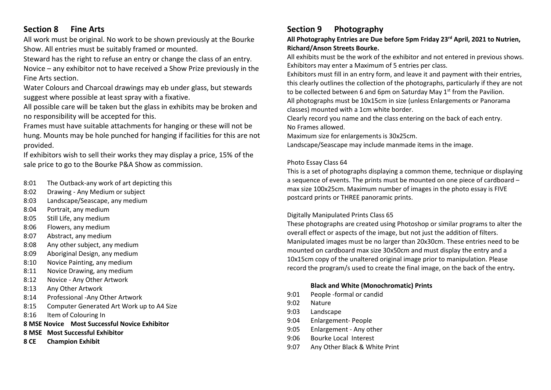# **Section 8 Fine Arts**

All work must be original. No work to be shown previously at the Bourke Show. All entries must be suitably framed or mounted.

Steward has the right to refuse an entry or change the class of an entry. Novice – any exhibitor not to have received a Show Prize previously in the Fine Arts section.

Water Colours and Charcoal drawings may eb under glass, but stewards suggest where possible at least spray with a fixative.

All possible care will be taken but the glass in exhibits may be broken and no responsibility will be accepted for this.

Frames must have suitable attachments for hanging or these will not be hung. Mounts may be hole punched for hanging if facilities for this are not provided.

If exhibitors wish to sell their works they may display a price, 15% of the sale price to go to the Bourke P&A Show as commission.

- 8:01 The Outback-any work of art depicting this
- 8:02 Drawing Any Medium or subject
- 8:03 Landscape/Seascape, any medium
- 8:04 Portrait, any medium
- 8:05 Still Life, any medium
- 8:06 Flowers, any medium
- 8:07 Abstract, any medium
- 8:08 Any other subject, any medium
- 8:09 Aboriginal Design, any medium
- 8:10 Novice Painting, any medium
- 8:11 Novice Drawing, any medium
- 8:12 Novice Any Other Artwork
- 8:13 Any Other Artwork
- 8:14 Professional -Any Other Artwork
- 8:15 Computer Generated Art Work up to A4 Size
- 8:16 Item of Colouring In
- **8 MSE Novice Most Successful Novice Exhibitor**
- **8 MSE Most Successful Exhibitor**
- **8 CE Champion Exhibit**

# **Section 9 Photography**

# **All Photography Entries are Due before 5pm Friday 23rd April, 2021 to Nutrien, Richard/Anson Streets Bourke.**

All exhibits must be the work of the exhibitor and not entered in previous shows. Exhibitors may enter a Maximum of 5 entries per class.

Exhibitors must fill in an entry form, and leave it and payment with their entries, this clearly outlines the collection of the photographs, particularly if they are not to be collected between 6 and 6pm on Saturday May 1<sup>st</sup> from the Pavilion. All photographs must be 10x15cm in size (unless Enlargements or Panorama

classes) mounted with a 1cm white border.

Clearly record you name and the class entering on the back of each entry. No Frames allowed.

Maximum size for enlargements is 30x25cm.

Landscape/Seascape may include manmade items in the image.

# Photo Essay Class 64

This is a set of photographs displaying a common theme, technique or displaying a sequence of events. The prints must be mounted on one piece of cardboard – max size 100x25cm. Maximum number of images in the photo essay is FIVE postcard prints or THREE panoramic prints.

# Digitally Manipulated Prints Class 65

These photographs are created using Photoshop or similar programs to alter the overall effect or aspects of the image, but not just the addition of filters. Manipulated images must be no larger than 20x30cm. These entries need to be mounted on cardboard max size 30x50cm and must display the entry and a 10x15cm copy of the unaltered original image prior to manipulation. Please record the program/s used to create the final image, on the back of the entry**.**

# **Black and White (Monochromatic) Prints**

- 9:01 People -formal or candid
- 9:02 Nature
- 9:03 Landscape
- 9:04 Enlargement- People
- 9:05 Enlargement Any other
- 9:06 Bourke Local Interest
- 9:07 Any Other Black & White Print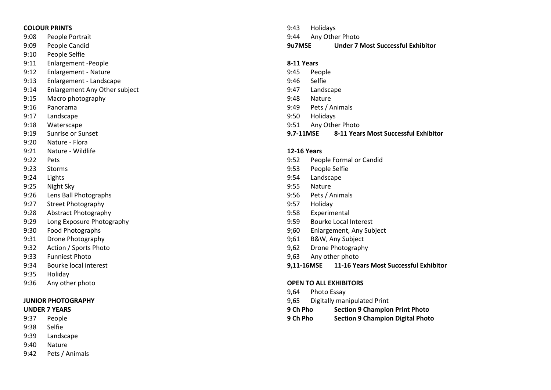#### **COLOUR PRINTS**

9:08 People Portrait

- 9:09 People Candid
- 9:10 People Selfie
- 9:11 Enlargement -People
- 9:12 Enlargement Nature
- 9:13 Enlargement Landscape
- 9:14 Enlargement Any Other subject
- 9:15 Macro photography
- 9:16 Panorama
- 9:17 Landscape
- 9:18 Waterscape
- 9:19 Sunrise or Sunset
- 9:20 Nature Flora
- 9:21 Nature Wildlife
- 9:22 Pets
- 9:23 Storms
- 9:24 Lights
- 9:25 Night Sky
- 9:26 Lens Ball Photographs
- 9:27 Street Photography
- 9:28 Abstract Photography
- 9:29 Long Exposure Photography
- 9:30 Food Photographs
- 9:31 Drone Photography
- 9:32 Action / Sports Photo
- 9:33 Funniest Photo
- 9:34 Bourke local interest
- 9:35 Holiday
- 9:36 Any other photo

### **JUNIOR PHOTOGRAPHY**

#### **UNDER 7 YEARS**

- 9:37 People
- 9:38 Selfie
- 9:39 Landscape
- 9:40 Nature
- 9:42 Pets / Animals
- 9:43 Holidays 9:44 Any Other Photo
- **9u7MSE Under 7 Most Successful Exhibitor**

### **8-11 Years**

- 9:45 People
- 9:46 Selfie
- 9:47 Landscape
- 9:48 Nature
- 9:49 Pets / Animals
- 9:50 Holidays
- 9:51 Any Other Photo
- **9.7 -11MSE 8 -11 Years Most Successful Exhibitor**

### **12 -16 Years**

- 9:52 People Formal or Candid
- 9:53 People Selfie
- 9:54 Landscape
- 9:55 Nature
- 9:56 Pets / Animals
- 9:57 Holiday
- 9:58 Experimental
- 9:59 Bourke Local Interest
- 9;60 Enlargement, Any Subject
- 9;61 B&W, Any Subject
- 9,62 Drone Photography
- 9,63 Any other photo
- **9,11 -16MSE 11 -16 Years Most Successful Exhibitor**

#### **OPEN TO ALL EXHIBITORS**

- 9,64 Photo Essay
- 9,65 Digitally manipulated Print
- **9 Ch Pho Section 9 Champion Print Photo**
- **9 Ch Pho Section 9 Champion Digital Photo**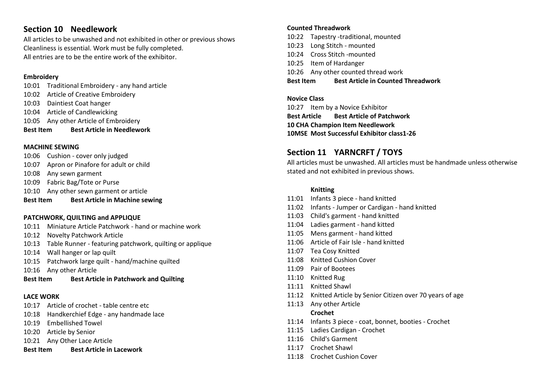# **Section 10 Needlework**

All articles to be unwashed and not exhibited in other or previous shows Cleanliness is essential. Work must be fully completed. All entries are to be the entire work of the exhibitor.

## **Embroidery**

- 10:01 Traditional Embroidery any hand article
- 10:02 Article of Creative Embroidery
- 10:03 Daintiest Coat hanger
- 10:04 Article of Candlewicking
- 10:05 Any other Article of Embroidery
- **Best Item Best Article in Needlework**

## **MACHINE SEWING**

- 10:06 Cushion cover only judged
- 10:07 Apron or Pinafore for adult or child
- 10:08 Any sewn garment
- 10:09 Fabric Bag/Tote or Purse
- 10:10 Any other sewn garment or article
- **Best Item Best Article in Machine sewing**

# **PATCHWORK, QUILTING and APPLIQUE**

- 10:11 Miniature Article Patchwork hand or machine work
- 10:12 Novelty Patchwork Article
- 10:13 Table Runner featuring patchwork, quilting or applique
- 10:14 Wall hanger or lap quilt
- 10:15 Patchwork large quilt hand/machine quilted
- 10:16 Any other Article
- **Best Item Best Article in Patchwork and Quilting**

# **LACE WORK**

- 10:17 Article of crochet table centre etc
- 10:18 Handkerchief Edge any handmade lace
- 10:19 Embellished Towel
- 10:20 Article by Senior
- 10:21 Any Other Lace Article
- **Best Item Best Article in Lacework**

# **Counted Threadwork**

- 10:22 Tapestry -traditional, mounted
- 10:23 Long Stitch mounted
- 10:24 Cross Stitch -mounted
- 10:25 Item of Hardanger
- 10:26 Any other counted thread work

**Best Item Best Article in Counted Threadwork**

# **Novice Class** 10:27 Item by a Novice Exhibitor

**Best Article Best Article of Patchwork 10 CHA Champion Item Needlework 10MSE Most Successful Exhibitor class1-26**

# **Section 11 YARNCRFT / TOYS**

All articles must be unwashed. All articles must be handmade unless otherwise stated and not exhibited in previous shows.

# **Knitting**

- 11:01 Infants 3 piece hand knitted
- 11:02 Infants Jumper or Cardigan hand knitted
- 11:03 Child's garment hand knitted
- 11:04 Ladies garment hand kitted
- 11:05 Mens garment hand kitted
- 11:06 Article of Fair Isle hand knitted
- 11:07 Tea Cosy Knitted
- 11:08 Knitted Cushion Cover
- 11:09 Pair of Bootees
- 11:10 Knitted Rug
- 11:11 Knitted Shawl
- 11:12 Knitted Article by Senior Citizen over 70 years of age
- 11:13 Any other Article

# **Crochet**

- 11:14 Infants 3 piece coat, bonnet, booties Crochet
- 11:15 Ladies Cardigan Crochet
- 11:16 Child's Garment
- 11:17 Crochet Shawl
- 11:18 Crochet Cushion Cover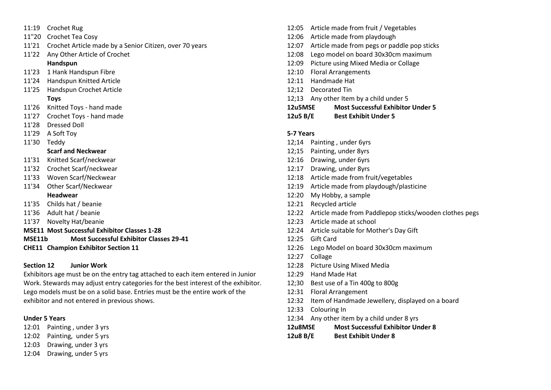- 11:19 Crochet Rug
- 11"20 Crochet Tea Cosy
- 11'21 Crochet Article made by a Senior Citizen, over 70 years
- 11'22 Any Other Article of Crochet

## **Handspun**

- 11'23 1 Hank Handspun Fibre
- 11'24 Handspun Knitted Article
- 11'25 Handspun Crochet Article

### **Toys**

- 11'26 Knitted Toys hand made
- 11'27 Crochet Toys hand made
- 11'28 Dressed Doll
- 11'29 A Soft Toy
- 11'30 Teddy

## **Scarf and Neckwear**

- 11'31 Knitted Scarf/neckwear
- 11'32 Crochet Scarf/neckwear
- 11'33 Woven Scarf/Neckwear
- 11'34 Other Scarf/Neckwear **Headwear**

### 11'35 Childs hat / beanie

- 11'36 Adult hat / beanie
- 11'37 Novelty Hat/beanie
- **MSE11 Most Successful Exhibitor Classes 1-28**
- **MSE11b Most Successful Exhibitor Classes 29-41**
- **CHE11 Champion Exhibitor Section 11**

## **Section 12 Junior Work**

Exhibitors age must be on the entry tag attached to each item entered in Junior Work. Stewards may adjust entry categories for the best interest of the exhibitor. Lego models must be on a solid base. Entries must be the entire work of the exhibitor and not entered in previous shows.

### **Under 5 Years**

- 12:01 Painting , under 3 yrs
- 12:02 Painting, under 5 yrs
- 12:03 Drawing, under 3 yrs
- 12:04 Drawing, under 5 yrs
- 12:05 Article made from fruit / Vegetables
- 12:06 Article made from playdough
- 12:07 Article made from pegs or paddle pop sticks
- 12:08 Lego model on board 30x30cm maximum
- 12:09 Picture using Mixed Media or Collage
- 12:10 Floral Arrangements
- 12:11 Handmade Hat
- 12;12 Decorated Tin
- 12;13 Any other Item by a child under 5
- **12u5MSE Most Successful Exhibitor Under 5**
- **12u5 B/E Best Exhibit Under 5**

## **5-7 Years**

- 12;14 Painting , under 6yrs
- 12;15 Painting, under 8yrs
- 12:16 Drawing, under 6yrs
- 12:17 Drawing, under 8yrs
- 12:18 Article made from fruit/vegetables
- 12:19 Article made from playdough/plasticine
- 12:20 My Hobby, a sample
- 12:21 Recycled article
- 12:22 Article made from Paddlepop sticks/wooden clothes pegs
- 12:23 Article made at school
- 12:24 Article suitable for Mother's Day Gift
- 12:25 Gift Card
- 12:26 Lego Model on board 30x30cm maximum
- 12:27 Collage
- 12:28 Picture Using Mixed Media
- 12:29 Hand Made Hat
- 12;30 Best use of a Tin 400g to 800g
- 12:31 Floral Arrangement
- 12:32 Item of Handmade Jewellery, displayed on a board
- 12:33 Colouring In
- 12:34 Any other item by a child under 8 yrs
- **12u8MSE Most Successful Exhibitor Under 8**
- **12u8 B/E Best Exhibit Under 8**